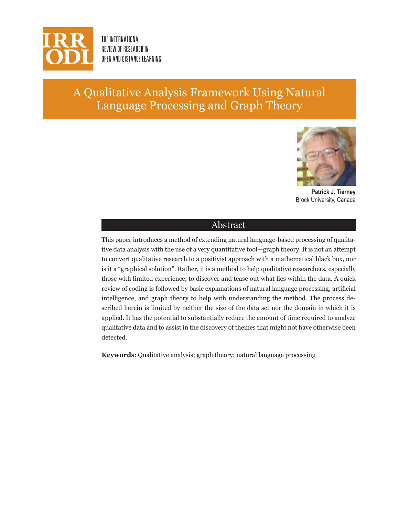

THE INTERNATIONAL REVIEW OF RESEARCH IN OPEN AND DISTANCE LEARNING

# A Qualitative Analysis Framework Using Natural Language Processing and Graph Theory



**Patrick J. Tierney** Brock University, Canada

# Abstract

This paper introduces a method of extending natural language-based processing of qualitative data analysis with the use of a very quantitative tool—graph theory. It is not an attempt to convert qualitative research to a positivist approach with a mathematical black box, nor is it a "graphical solution". Rather, it is a method to help qualitative researchers, especially those with limited experience, to discover and tease out what lies within the data. A quick review of coding is followed by basic explanations of natural language processing, artificial intelligence, and graph theory to help with understanding the method. The process described herein is limited by neither the size of the data set nor the domain in which it is applied. It has the potential to substantially reduce the amount of time required to analyze qualitative data and to assist in the discovery of themes that might not have otherwise been detected.

**Keywords**: Qualitative analysis; graph theory; natural language processing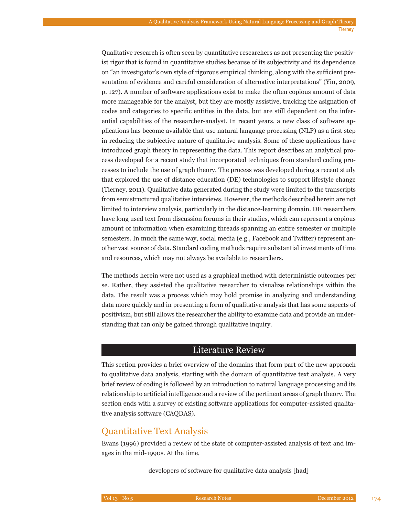Qualitative research is often seen by quantitative researchers as not presenting the positivist rigor that is found in quantitative studies because of its subjectivity and its dependence on "an investigator's own style of rigorous empirical thinking, along with the sufficient presentation of evidence and careful consideration of alternative interpretations" (Yin, 2009, p. 127). A number of software applications exist to make the often copious amount of data more manageable for the analyst, but they are mostly assistive, tracking the asignation of codes and categories to specific entities in the data, but are still dependent on the inferential capabilities of the researcher-analyst. In recent years, a new class of software applications has become available that use natural language processing (NLP) as a first step in reducing the subjective nature of qualitative analysis. Some of these applications have introduced graph theory in representing the data. This report describes an analytical process developed for a recent study that incorporated techniques from standard coding processes to include the use of graph theory. The process was developed during a recent study that explored the use of distance education (DE) technologies to support lifestyle change (Tierney, 2011). Qualitative data generated during the study were limited to the transcripts from semistructured qualitative interviews. However, the methods described herein are not limited to interview analysis, particularly in the distance-learning domain. DE researchers have long used text from discussion forums in their studies, which can represent a copious amount of information when examining threads spanning an entire semester or multiple semesters. In much the same way, social media (e.g., Facebook and Twitter) represent another vast source of data. Standard coding methods require substantial investments of time and resources, which may not always be available to researchers.

The methods herein were not used as a graphical method with deterministic outcomes per se. Rather, they assisted the qualitative researcher to visualize relationships within the data. The result was a process which may hold promise in analyzing and understanding data more quickly and in presenting a form of qualitative analysis that has some aspects of positivism, but still allows the researcher the ability to examine data and provide an understanding that can only be gained through qualitative inquiry.

# Literature Review

This section provides a brief overview of the domains that form part of the new approach to qualitative data analysis, starting with the domain of quantitative text analysis. A very brief review of coding is followed by an introduction to natural language processing and its relationship to artificial intelligence and a review of the pertinent areas of graph theory. The section ends with a survey of existing software applications for computer-assisted qualitative analysis software (CAQDAS).

# Quantitative Text Analysis

Evans (1996) provided a review of the state of computer-assisted analysis of text and images in the mid-1990s. At the time,

developers of software for qualitative data analysis [had]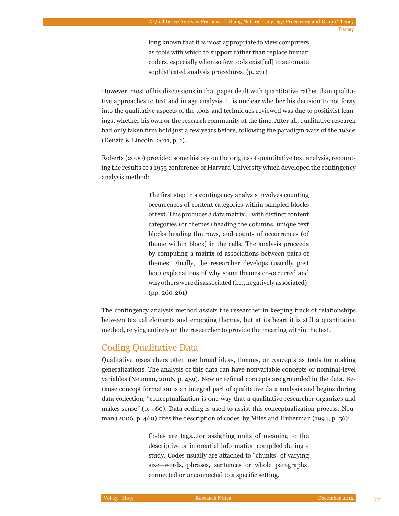long known that it is most appropriate to view computers as tools with which to support rather than replace human coders, especially when so few tools exist[ed] to automate sophisticated analysis procedures. (p. 271)

However, most of his discussions in that paper dealt with quantitative rather than qualitative approaches to text and image analysis. It is unclear whether his decision to not foray into the qualitative aspects of the tools and techniques reviewed was due to positivist leanings, whether his own or the research community at the time. After all, qualitative research had only taken firm hold just a few years before, following the paradigm wars of the 1980s (Denzin & Lincoln, 2011, p. 1).

Roberts (2000) provided some history on the origins of quantitative text analysis, recounting the results of a 1955 conference of Harvard University which developed the contingency analysis method:

> The first step in a contingency analysis involves counting occurrences of content categories within sampled blocks of text. This produces a data matrix ... with distinct content categories (or themes) heading the columns, unique text blocks heading the rows, and counts of occurrences (of theme within block) in the cells. The analysis proceeds by computing a matrix of associations between pairs of themes. Finally, the researcher develops (usually post hoc) explanations of why some themes co-occurred and why others were disassociated (i.e., negatively associated). (pp. 260-261)

The contingency analysis method assists the researcher in keeping track of relationships between textual elements and emerging themes, but at its heart it is still a quantitative method, relying entirely on the researcher to provide the meaning within the text.

# Coding Qualitative Data

Qualitative researchers often use broad ideas, themes, or concepts as tools for making generalizations. The analysis of this data can have nonvariable concepts or nominal-level variables (Neuman, 2006, p. 459). New or refined concepts are grounded in the data. Because concept formation is an integral part of qualitative data analysis and begins during data collection, "conceptualization is one way that a qualitative researcher organizes and makes sense" (p. 460). Data coding is used to assist this conceptualization process. Neuman (2006, p. 460) cites the description of codes by Miles and Huberman (1994, p. 56):

> Codes are tags...for assigning units of meaning to the descriptive or inferential information compiled during a study. Codes usually are attached to "chunks" of varying size—words, phrases, sentences or whole paragraphs, connected or unconnected to a specific setting.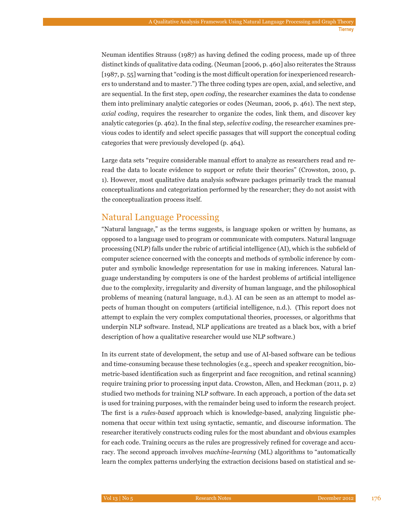Neuman identifies Strauss (1987) as having defined the coding process, made up of three distinct kinds of qualitative data coding. (Neuman [2006, p. 460] also reiterates the Strauss [1987, p. 55] warning that "coding is the most difficult operation for inexperienced researchers to understand and to master.") The three coding types are open, axial, and selective, and are sequential. In the first step, *open coding*, the researcher examines the data to condense them into preliminary analytic categories or codes (Neuman, 2006, p. 461). The next step, *axial coding*, requires the researcher to organize the codes, link them, and discover key analytic categories (p. 462). In the final step, *selective coding*, the researcher examines previous codes to identify and select specific passages that will support the conceptual coding categories that were previously developed (p. 464).

Large data sets "require considerable manual effort to analyze as researchers read and reread the data to locate evidence to support or refute their theories" (Crowston, 2010, p. 1). However, most qualitative data analysis software packages primarily track the manual conceptualizations and categorization performed by the researcher; they do not assist with the conceptualization process itself.

# Natural Language Processing

"Natural language," as the terms suggests, is language spoken or written by humans, as opposed to a language used to program or communicate with computers. Natural language processing (NLP) falls under the rubric of artificial intelligence (AI), which is the subfield of computer science concerned with the concepts and methods of symbolic inference by computer and symbolic knowledge representation for use in making inferences. Natural language understanding by computers is one of the hardest problems of artificial intelligence due to the complexity, irregularity and diversity of human language, and the philosophical problems of meaning (natural language, n.d.). AI can be seen as an attempt to model aspects of human thought on computers (artificial intelligence, n.d.). (This report does not attempt to explain the very complex computational theories, processes, or algorithms that underpin NLP software. Instead, NLP applications are treated as a black box, with a brief description of how a qualitative researcher would use NLP software.)

In its current state of development, the setup and use of AI-based software can be tedious and time-consuming because these technologies (e.g., speech and speaker recognition, biometric-based identification such as fingerprint and face recognition, and retinal scanning) require training prior to processing input data. Crowston, Allen, and Heckman (2011, p. 2) studied two methods for training NLP software. In each approach, a portion of the data set is used for training purposes, with the remainder being used to inform the research project. The first is a *rules-based* approach which is knowledge-based, analyzing linguistic phenomena that occur within text using syntactic, semantic, and discourse information. The researcher iteratively constructs coding rules for the most abundant and obvious examples for each code. Training occurs as the rules are progressively refined for coverage and accuracy. The second approach involves *machine-learning* (ML) algorithms to "automatically learn the complex patterns underlying the extraction decisions based on statistical and se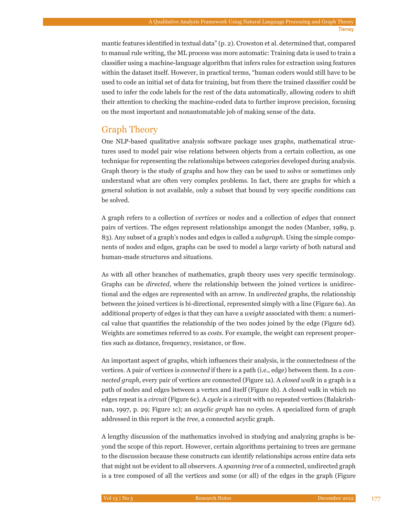mantic features identified in textual data" (p. 2). Crowston et al. determined that, compared to manual rule writing, the ML process was more automatic: Training data is used to train a classifier using a machine-language algorithm that infers rules for extraction using features within the dataset itself. However, in practical terms, "human coders would still have to be used to code an initial set of data for training, but from there the trained classifier could be used to infer the code labels for the rest of the data automatically, allowing coders to shift their attention to checking the machine-coded data to further improve precision, focusing on the most important and nonautomatable job of making sense of the data.

# Graph Theory

One NLP-based qualitative analysis software package uses graphs, mathematical structures used to model pair wise relations between objects from a certain collection, as one technique for representing the relationships between categories developed during analysis. Graph theory is the study of graphs and how they can be used to solve or sometimes only understand what are often very complex problems. In fact, there are graphs for which a general solution is not available, only a subset that bound by very specific conditions can be solved.

A graph refers to a collection of *vertices* or *nodes* and a collection of *edges* that connect pairs of vertices. The edges represent relationships amongst the nodes (Manber, 1989, p. 83). Any subset of a graph's nodes and edges is called a *subgraph*. Using the simple components of nodes and edges, graphs can be used to model a large variety of both natural and human-made structures and situations.

As with all other branches of mathematics, graph theory uses very specific terminology. Graphs can be *directed*, where the relationship between the joined vertices is unidirectional and the edges are represented with an arrow. In *undirected* graphs, the relationship between the joined vertices is bi-directional, represented simply with a line (Figure 6a). An additional property of edges is that they can have a *weight* associated with them: a numerical value that quantifies the relationship of the two nodes joined by the edge (Figure 6d). Weights are sometimes referred to as *costs*. For example, the weight can represent properties such as distance, frequency, resistance, or flow.

An important aspect of graphs, which influences their analysis, is the connectedness of the vertices. A pair of vertices is *connected* if there is a path (i.e., edge) between them. In a *connected graph*, every pair of vertices are connected (Figure 1a). A *closed walk* in a graph is a path of nodes and edges between a vertex and itself (Figure 1b). A closed walk in which no edges repeat is a *circuit* (Figure 6c). A *cycle* is a circuit with no repeated vertices (Balakrishnan, 1997, p. 29; Figure 1c); an *acyclic graph* has no cycles. A specialized form of graph addressed in this report is the *tree,* a connected acyclic graph.

A lengthy discussion of the mathematics involved in studying and analyzing graphs is beyond the scope of this report. However, certain algorithms pertaining to trees are germane to the discussion because these constructs can identify relationships across entire data sets that might not be evident to all observers. A *spanning tree* of a connected, undirected graph is a tree composed of all the vertices and some (or all) of the edges in the graph (Figure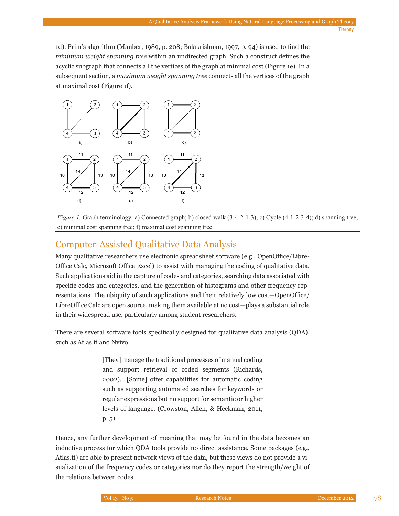1d). Prim's algorithm (Manber, 1989, p. 208; Balakrishnan, 1997, p. 94) is used to find the *minimum weight spanning tree* within an undirected graph. Such a construct defines the acyclic subgraph that connects all the vertices of the graph at minimal cost (Figure 1e). In a subsequent section, a *maximum weight spanning tree* connects all the vertices of the graph at maximal cost (Figure 1f).



*Figure 1.* Graph terminology: a) Connected graph; b) closed walk  $(3-4-2-1-3)$ ; c) Cycle  $(4-1-2-3-4)$ ; d) spanning tree; e) minimal cost spanning tree; f) maximal cost spanning tree.

# Computer-Assisted Qualitative Data Analysis

Many qualitative researchers use electronic spreadsheet software (e.g., OpenOffice/Libre-Office Calc, Microsoft Office Excel) to assist with managing the coding of qualitative data. Such applications aid in the capture of codes and categories, searching data associated with specific codes and categories, and the generation of histograms and other frequency representations. The ubiquity of such applications and their relatively low cost—OpenOffice/ LibreOffice Calc are open source, making them available at no cost—plays a substantial role in their widespread use, particularly among student researchers.

There are several software tools specifically designed for qualitative data analysis (QDA), such as Atlas.ti and Nvivo.

> [They] manage the traditional processes of manual coding and support retrieval of coded segments (Richards, 2002)....[Some] offer capabilities for automatic coding such as supporting automated searches for keywords or regular expressions but no support for semantic or higher levels of language. (Crowston, Allen, & Heckman, 2011, p. 5)

Hence, any further development of meaning that may be found in the data becomes an inductive process for which QDA tools provide no direct assistance. Some packages (e.g., Atlas.ti) are able to present network views of the data, but these views do not provide a visualization of the frequency codes or categories nor do they report the strength/weight of the relations between codes.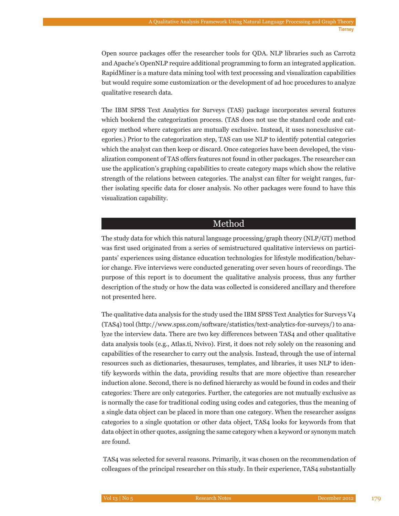Open source packages offer the researcher tools for QDA. NLP libraries such as Carrot2 and Apache's OpenNLP require additional programming to form an integrated application. RapidMiner is a mature data mining tool with text processing and visualization capabilities but would require some customization or the development of ad hoc procedures to analyze qualitative research data.

The IBM SPSS Text Analytics for Surveys (TAS) package incorporates several features which bookend the categorization process. (TAS does not use the standard code and category method where categories are mutually exclusive. Instead, it uses nonexclusive categories.) Prior to the categorization step, TAS can use NLP to identify potential categories which the analyst can then keep or discard. Once categories have been developed, the visualization component of TAS offers features not found in other packages. The researcher can use the application's graphing capabilities to create category maps which show the relative strength of the relations between categories. The analyst can filter for weight ranges, further isolating specific data for closer analysis. No other packages were found to have this visualization capability.

# Method

The study data for which this natural language processing/graph theory (NLP/GT) method was first used originated from a series of semistructured qualitative interviews on participants' experiences using distance education technologies for lifestyle modification/behavior change. Five interviews were conducted generating over seven hours of recordings. The purpose of this report is to document the qualitative analysis process, thus any further description of the study or how the data was collected is considered ancillary and therefore not presented here.

The qualitative data analysis for the study used the IBM SPSS Text Analytics for Surveys V4 (TAS4) tool (http://www.spss.com/software/statistics/text-analytics-for-surveys/) to analyze the interview data. There are two key differences between TAS4 and other qualitative data analysis tools (e.g., Atlas.ti, Nvivo). First, it does not rely solely on the reasoning and capabilities of the researcher to carry out the analysis. Instead, through the use of internal resources such as dictionaries, thesauruses, templates, and libraries, it uses NLP to identify keywords within the data, providing results that are more objective than researcher induction alone. Second, there is no defined hierarchy as would be found in codes and their categories: There are only categories. Further, the categories are not mutually exclusive as is normally the case for traditional coding using codes and categories, thus the meaning of a single data object can be placed in more than one category. When the researcher assigns categories to a single quotation or other data object, TAS4 looks for keywords from that data object in other quotes, assigning the same category when a keyword or synonym match are found.

 TAS4 was selected for several reasons. Primarily, it was chosen on the recommendation of colleagues of the principal researcher on this study. In their experience, TAS4 substantially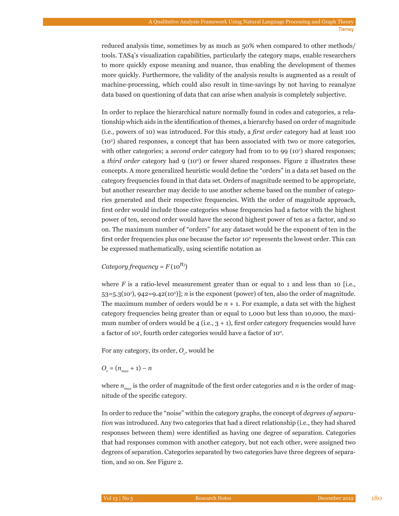reduced analysis time, sometimes by as much as 50% when compared to other methods/ tools. TAS4's visualization capabilities, particularly the category maps, enable researchers to more quickly expose meaning and nuance, thus enabling the development of themes more quickly. Furthermore, the validity of the analysis results is augmented as a result of machine-processing, which could also result in time-savings by not having to reanalyze data based on questioning of data that can arise when analysis is completely subjective.

In order to replace the hierarchical nature normally found in codes and categories, a relationship which aids in the identification of themes, a hierarchy based on order of magnitude (i.e., powers of 10) was introduced. For this study, a *first order* category had at least 100 (102 ) shared responses, a concept that has been associated with two or more categories, with other categories; a *second order* category had from 10 to 99 (10<sup>1</sup>) shared responses; a *third order* category had 9 (10°) or fewer shared responses. Figure 2 illustrates these concepts. A more generalized heuristic would define the "orders" in a data set based on the category frequencies found in that data set. Orders of magnitude seemed to be appropriate, but another researcher may decide to use another scheme based on the number of categories generated and their respective frequencies. With the order of magnitude approach, first order would include those categories whose frequencies had a factor with the highest power of ten, second order would have the second highest power of ten as a factor, and so on. The maximum number of "orders" for any dataset would be the exponent of ten in the first order frequencies plus one because the factor  $10^{\circ}$  represents the lowest order. This can be expressed mathematically, using scientific notation as

# *Category frequency* = *F* (10*n)* )

where  $F$  is a ratio-level measurement greater than or equal to 1 and less than 10 [i.e.,  $53=5.3(10^{1})$ ,  $942=9.42(10^{2})$ ; *n* is the exponent (power) of ten, also the order of magnitude. The maximum number of orders would be  $n + 1$ . For example, a data set with the highest category frequencies being greater than or equal to 1,000 but less than 10,000, the maximum number of orders would be 4 (i.e.,  $3 + 1$ ), first order category frequencies would have a factor of 10<sup>3</sup>, fourth order categories would have a factor of 10<sup>°</sup>.

For any category, its order,  $O_c$ , would be

$$
O_c = \left( n_{max} + 1 \right) - n
$$

where  $n_{max}$  is the order of magnitude of the first order categories and *n* is the order of magnitude of the specific category.

In order to reduce the "noise" within the category graphs, the concept of *degrees of separation* was introduced. Any two categories that had a direct relationship (i.e., they had shared responses between them) were identified as having one degree of separation. Categories that had responses common with another category, but not each other, were assigned two degrees of separation. Categories separated by two categories have three degrees of separation, and so on. See Figure 2.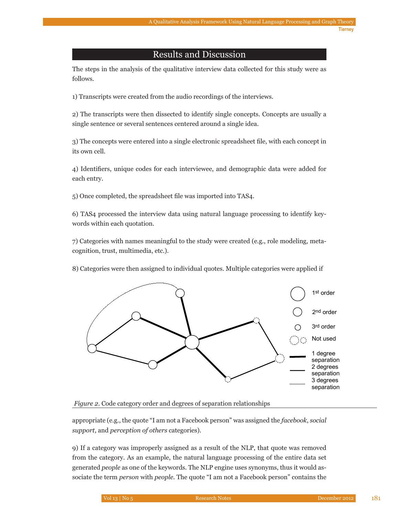## Results and Discussion

The steps in the analysis of the qualitative interview data collected for this study were as follows.

1) Transcripts were created from the audio recordings of the interviews.

2) The transcripts were then dissected to identify single concepts. Concepts are usually a single sentence or several sentences centered around a single idea.

3) The concepts were entered into a single electronic spreadsheet file, with each concept in its own cell.

4) Identifiers, unique codes for each interviewee, and demographic data were added for each entry.

5) Once completed, the spreadsheet file was imported into TAS4.

6) TAS4 processed the interview data using natural language processing to identify keywords within each quotation.

7) Categories with names meaningful to the study were created (e.g., role modeling, metacognition, trust, multimedia, etc.).

8) Categories were then assigned to individual quotes. Multiple categories were applied if



#### *Figure 2.* Code category order and degrees of separation relationships

appropriate (e.g., the quote "I am not a Facebook person" was assigned the *facebook*, *social support*, and *perception of others* categories).

9) If a category was improperly assigned as a result of the NLP, that quote was removed from the category. As an example, the natural language processing of the entire data set generated *people* as one of the keywords. The NLP engine uses synonyms, thus it would associate the term *person* with *people.* The quote "I am not a Facebook person" contains the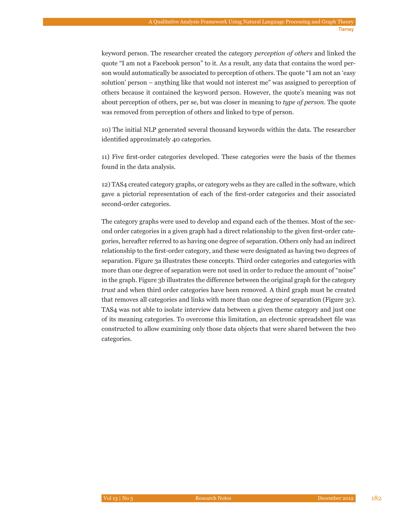keyword person. The researcher created the category *perception of others* and linked the quote "I am not a Facebook person" to it. As a result, any data that contains the word person would automatically be associated to perception of others. The quote "I am not an 'easy solution' person – anything like that would not interest me" was assigned to perception of others because it contained the keyword person. However, the quote's meaning was not about perception of others, per se, but was closer in meaning to *type of person*. The quote was removed from perception of others and linked to type of person.

10) The initial NLP generated several thousand keywords within the data. The researcher identified approximately 40 categories.

11) Five first-order categories developed. These categories were the basis of the themes found in the data analysis.

12) TAS4 created category graphs, or category webs as they are called in the software, which gave a pictorial representation of each of the first-order categories and their associated second-order categories.

The category graphs were used to develop and expand each of the themes. Most of the second order categories in a given graph had a direct relationship to the given first-order categories, hereafter referred to as having one degree of separation. Others only had an indirect relationship to the first-order category, and these were designated as having two degrees of separation. Figure 3a illustrates these concepts. Third order categories and categories with more than one degree of separation were not used in order to reduce the amount of "noise" in the graph. Figure 3b illustrates the difference between the original graph for the category *trust* and when third order categories have been removed. A third graph must be created that removes all categories and links with more than one degree of separation (Figure 3c). TAS4 was not able to isolate interview data between a given theme category and just one of its meaning categories. To overcome this limitation, an electronic spreadsheet file was constructed to allow examining only those data objects that were shared between the two categories.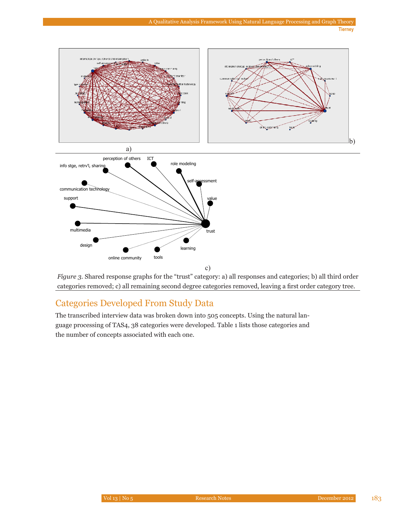

*Figure 3.* Shared response graphs for the "trust" category: a) all responses and categories; b) all third order categories removed; c) all remaining second degree categories removed, leaving a first order category tree.

# Categories Developed From Study Data

The transcribed interview data was broken down into 505 concepts. Using the natural language processing of TAS4, 38 categories were developed. Table 1 lists those categories and the number of concepts associated with each one.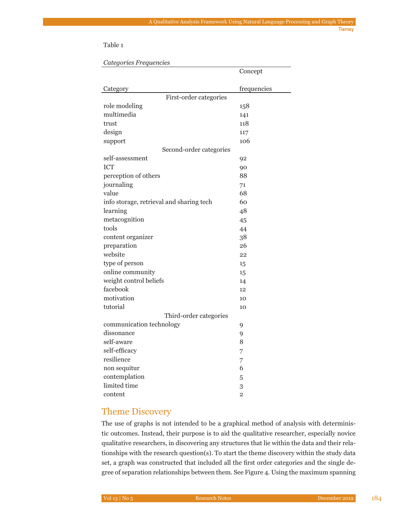### Table 1

#### *Categories Frequencies*

|                                          | Concept        |
|------------------------------------------|----------------|
|                                          |                |
| Category                                 | frequencies    |
| First-order categories                   |                |
| role modeling                            | 158            |
| multimedia                               | 141            |
| trust                                    | 118            |
| design                                   | 117            |
| support                                  | 106            |
| Second-order categories                  |                |
| self-assessment                          | 92             |
| <b>ICT</b>                               | 90             |
| perception of others                     | 88             |
| journaling                               | 71             |
| value                                    | 68             |
| info storage, retrieval and sharing tech | 60             |
| learning                                 | 48             |
| metacognition                            | 45             |
| tools                                    | 44             |
| content organizer                        | 38             |
| preparation                              | 26             |
| website                                  | 22             |
| type of person                           | 15             |
| online community                         | 15             |
| weight control beliefs                   | 14             |
| facebook                                 | 12             |
| motivation                               | 10             |
| tutorial                                 | 10             |
| Third-order categories                   |                |
| communication technology                 | 9              |
| dissonance                               | 9              |
| self-aware                               | 8              |
| self-efficacy                            | 7              |
| resilience                               | 7              |
| non sequitur                             | 6              |
| contemplation                            | 5              |
| limited time                             | 3              |
| content                                  | $\overline{2}$ |
|                                          |                |

# Theme Discovery

The use of graphs is not intended to be a graphical method of analysis with deterministic outcomes. Instead, their purpose is to aid the qualitative researcher, especially novice qualitative researchers, in discovering any structures that lie within the data and their relationships with the research question(s). To start the theme discovery within the study data set, a graph was constructed that included all the first order categories and the single degree of separation relationships between them. See Figure 4. Using the maximum spanning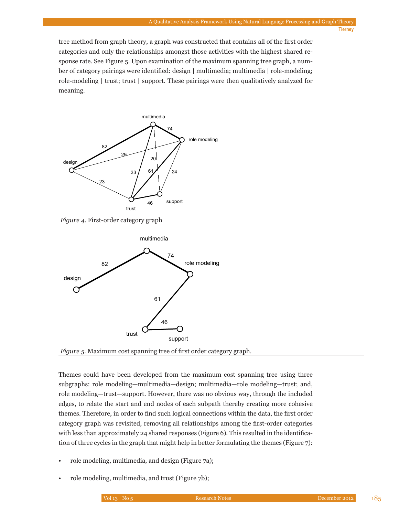tree method from graph theory, a graph was constructed that contains all of the first order categories and only the relationships amongst those activities with the highest shared response rate. See Figure 5. Upon examination of the maximum spanning tree graph, a number of category pairings were identified: design | multimedia; multimedia | role-modeling; role-modeling | trust; trust | support. These pairings were then qualitatively analyzed for meaning.



*Figure 4.* First-order category graph



*Figure 5*. Maximum cost spanning tree of first order category graph.

Themes could have been developed from the maximum cost spanning tree using three subgraphs: role modeling—multimedia—design; multimedia—role modeling—trust; and, role modeling—trust—support. However, there was no obvious way, through the included edges, to relate the start and end nodes of each subpath thereby creating more cohesive themes. Therefore, in order to find such logical connections within the data, the first order category graph was revisited, removing all relationships among the first-order categories with less than approximately 24 shared responses (Figure 6). This resulted in the identification of three cycles in the graph that might help in better formulating the themes (Figure 7):

- role modeling, multimedia, and design (Figure 7a);
- role modeling, multimedia, and trust (Figure 7b);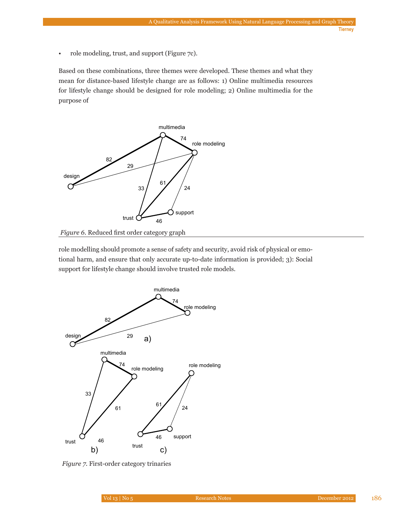• role modeling, trust, and support (Figure 7c).

Based on these combinations, three themes were developed. These themes and what they mean for distance-based lifestyle change are as follows: 1) Online multimedia resources for lifestyle change should be designed for role modeling; 2) Online multimedia for the purpose of



```
Figure 6. Reduced first order category graph
```
role modelling should promote a sense of safety and security, avoid risk of physical or emotional harm, and ensure that only accurate up-to-date information is provided; 3): Social support for lifestyle change should involve trusted role models.



*Figure 7.* First-order category trinaries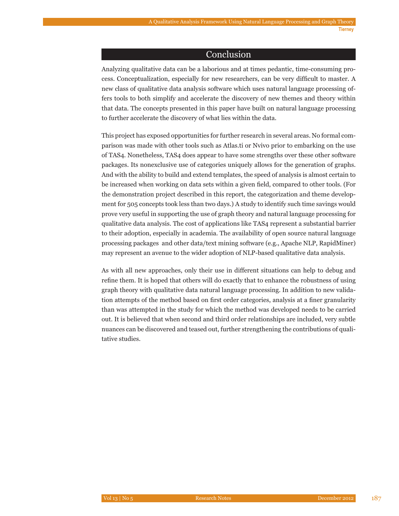## Conclusion

Analyzing qualitative data can be a laborious and at times pedantic, time-consuming process. Conceptualization, especially for new researchers, can be very difficult to master. A new class of qualitative data analysis software which uses natural language processing offers tools to both simplify and accelerate the discovery of new themes and theory within that data. The concepts presented in this paper have built on natural language processing to further accelerate the discovery of what lies within the data.

This project has exposed opportunities for further research in several areas. No formal comparison was made with other tools such as Atlas.ti or Nvivo prior to embarking on the use of TAS4. Nonetheless, TAS4 does appear to have some strengths over these other software packages. Its nonexclusive use of categories uniquely allows for the generation of graphs. And with the ability to build and extend templates, the speed of analysis is almost certain to be increased when working on data sets within a given field, compared to other tools. (For the demonstration project described in this report, the categorization and theme development for 505 concepts took less than two days.) A study to identify such time savings would prove very useful in supporting the use of graph theory and natural language processing for qualitative data analysis. The cost of applications like TAS4 represent a substantial barrier to their adoption, especially in academia. The availability of open source natural language processing packages and other data/text mining software (e.g., Apache NLP, RapidMiner) may represent an avenue to the wider adoption of NLP-based qualitative data analysis.

As with all new approaches, only their use in different situations can help to debug and refine them. It is hoped that others will do exactly that to enhance the robustness of using graph theory with qualitative data natural language processing. In addition to new validation attempts of the method based on first order categories, analysis at a finer granularity than was attempted in the study for which the method was developed needs to be carried out. It is believed that when second and third order relationships are included, very subtle nuances can be discovered and teased out, further strengthening the contributions of qualitative studies.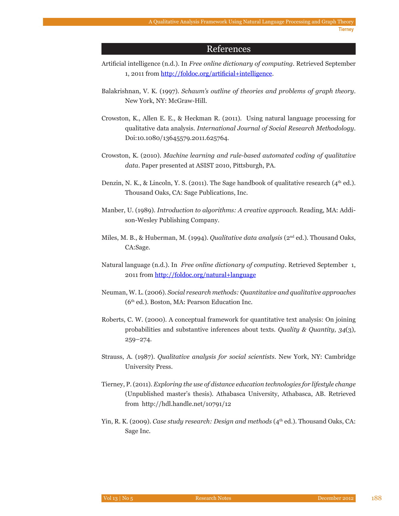# References

- Artificial intelligence (n.d.). In *Free online dictionary of computing*. Retrieved September 1, 2011 from http://foldoc.org/artificial+intelligence.
- Balakrishnan, V. K. (1997). *Schaum's outline of theories and problems of graph theory*. New York, NY: McGraw-Hill.
- Crowston, K., Allen E. E., & Heckman R. (2011). Using natural language processing for qualitative data analysis. *International Journal of Social Research Methodology*. Doi:10.1080/13645579.2011.625764.
- Crowston, K. (2010). *Machine learning and rule-based automated coding of qualitative data*. Paper presented at ASIST 2010, Pittsburgh, PA.
- Denzin, N. K., & Lincoln, Y. S. (2011). The Sage handbook of qualitative research ( $4<sup>th</sup>$  ed.). Thousand Oaks, CA: Sage Publications, Inc.
- Manber, U. (1989). *Introduction to algorithms: A creative approach*. Reading, MA: Addison-Wesley Publishing Company.
- Miles, M. B., & Huberman, M. (1994). *Qualitative data analysis* (2nd ed.). Thousand Oaks, CA:Sage.
- Natural language (n.d.). In *Free online dictionary of computing*. Retrieved September 1, 2011 from http://foldoc.org/natural+language
- Neuman, W. L. (2006). *Social research methods: Quantitative and qualitative approaches* (6th ed.). Boston, MA: Pearson Education Inc.
- Roberts, C. W. (2000). A conceptual framework for quantitative text analysis: On joining probabilities and substantive inferences about texts. *Quality & Quantity, 34*(3), 259–274.
- Strauss, A. (1987). *Qualitative analysis for social scientists*. New York, NY: Cambridge University Press.
- Tierney, P. (2011). *Exploring the use of distance education technologies for lifestyle change* (Unpublished master's thesis). Athabasca University, Athabasca, AB. Retrieved from http://hdl.handle.net/10791/12
- Yin, R. K. (2009). *Case study research: Design and methods* (4<sup>th</sup> ed.). Thousand Oaks, CA: Sage Inc.